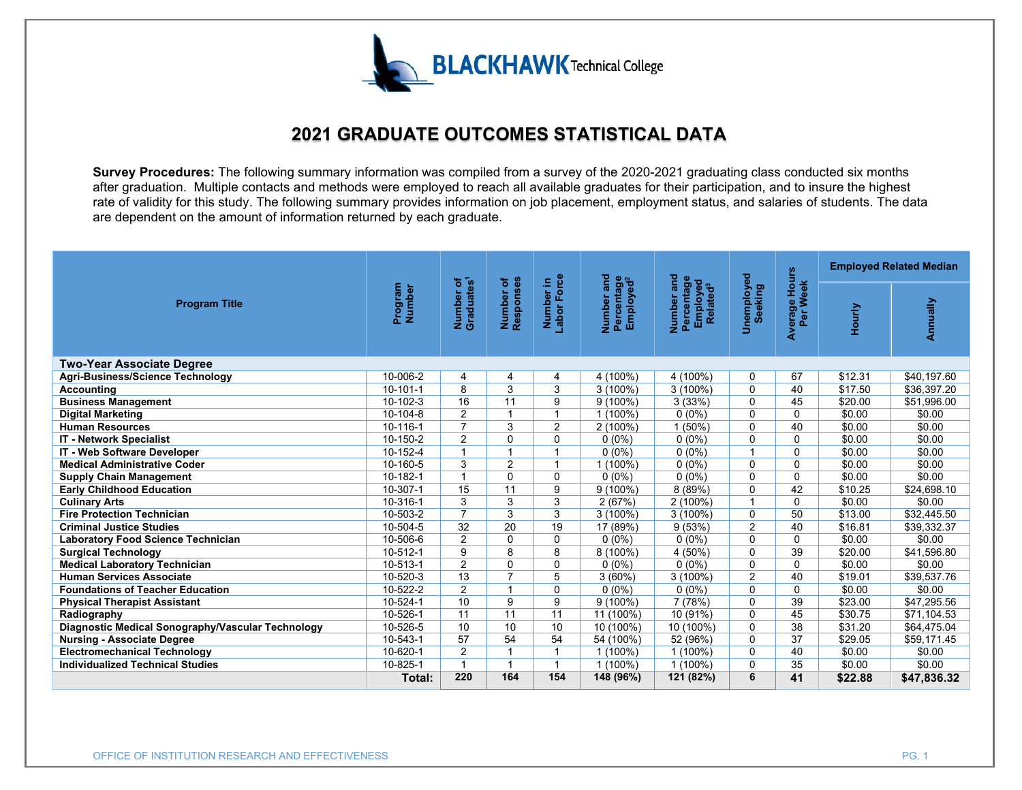

## **2021 GRADUATE OUTCOMES STATISTICAL DATA**

**Survey Procedures:** The following summary information was compiled from a survey of the 2020-2021 graduating class conducted six months after graduation. Multiple contacts and methods were employed to reach all available graduates for their participation, and to insure the highest rate of validity for this study. The following summary provides information on job placement, employment status, and salaries of students. The data are dependent on the amount of information returned by each graduate.

|                                                   | Program<br>Number | Number of<br>Graduates <sup>1</sup> | Number of<br>Responses | Number in<br>Labor Force | Number and<br>Percentage<br>Employed <sup>2</sup> | and<br>Number and<br>Percentage<br>Employed<br>Related <sup>3</sup> | <b>Unemployed</b><br>Seeking | Average Hours<br>Per Week | <b>Employed Related Median</b> |             |
|---------------------------------------------------|-------------------|-------------------------------------|------------------------|--------------------------|---------------------------------------------------|---------------------------------------------------------------------|------------------------------|---------------------------|--------------------------------|-------------|
| <b>Program Title</b>                              |                   |                                     |                        |                          |                                                   |                                                                     |                              |                           | Hourly                         | Annually    |
| <b>Two-Year Associate Degree</b>                  |                   |                                     |                        |                          |                                                   |                                                                     |                              |                           |                                |             |
| Agri-Business/Science Technology                  | 10-006-2          | 4                                   | 4                      | 4                        | 4 (100%)                                          | 4 (100%)                                                            | 0                            | 67                        | \$12.31                        | \$40,197.60 |
| <b>Accounting</b>                                 | $10 - 101 - 1$    | 8                                   | 3                      | 3                        | $3(100\%)$                                        | $3(100\%)$                                                          | $\Omega$                     | 40                        | \$17.50                        | \$36,397.20 |
| <b>Business Management</b>                        | 10-102-3          | 16                                  | 11                     | 9                        | $9(100\%)$                                        | 3(33%)                                                              | $\Omega$                     | 45                        | \$20.00                        | \$51,996.00 |
| <b>Digital Marketing</b>                          | 10-104-8          | $\overline{2}$                      | $\overline{1}$         |                          | $1(100\%)$                                        | $0(0\%)$                                                            | $\Omega$                     | 0                         | \$0.00                         | \$0.00      |
| <b>Human Resources</b>                            | 10-116-1          | $\overline{7}$                      | 3                      | 2                        | $2(100\%)$                                        | 1(50%)                                                              | $\Omega$                     | 40                        | \$0.00                         | \$0.00      |
| <b>IT - Network Specialist</b>                    | 10-150-2          | $\overline{2}$                      | $\Omega$               | $\Omega$                 | $0(0\%)$                                          | $0(0\%)$                                                            | $\Omega$                     | $\mathbf{0}$              | \$0.00                         | \$0.00      |
| IT - Web Software Developer                       | 10-152-4          | 1                                   | $\overline{ }$         |                          | $0(0\%)$                                          | $0(0\%)$                                                            | $\overline{\mathbf{A}}$      | 0                         | \$0.00                         | \$0.00      |
| <b>Medical Administrative Coder</b>               | 10-160-5          | 3                                   | $\overline{2}$         |                          | $1(100\%)$                                        | $0(0\%)$                                                            | $\Omega$                     | $\Omega$                  | \$0.00                         | \$0.00      |
| <b>Supply Chain Management</b>                    | 10-182-1          | $\overline{1}$                      | $\Omega$               | $\Omega$                 | $0(0\%)$                                          | $0(0\%)$                                                            | $\Omega$                     | $\mathbf{0}$              | \$0.00                         | \$0.00      |
| <b>Early Childhood Education</b>                  | 10-307-1          | 15                                  | 11                     | 9                        | $9(100\%)$                                        | 8 (89%)                                                             | $\Omega$                     | 42                        | \$10.25                        | \$24,698.10 |
| <b>Culinary Arts</b>                              | 10-316-1          | 3                                   | $\overline{3}$         | 3                        | 2(67%)                                            | $2(100\%)$                                                          | $\overline{1}$               | $\Omega$                  | \$0.00                         | \$0.00      |
| <b>Fire Protection Technician</b>                 | 10-503-2          | $\overline{7}$                      | 3                      | 3                        | $3(100\%)$                                        | $3(100\%)$                                                          | $\mathbf{0}$                 | 50                        | \$13.00                        | \$32,445.50 |
| <b>Criminal Justice Studies</b>                   | 10-504-5          | 32                                  | 20                     | 19                       | 17 (89%)                                          | 9(53%)                                                              | 2                            | 40                        | \$16.81                        | \$39,332.37 |
| <b>Laboratory Food Science Technician</b>         | 10-506-6          | 2                                   | $\Omega$               | $\Omega$                 | $0(0\%)$                                          | $0(0\%)$                                                            | $\Omega$                     | $\Omega$                  | \$0.00                         | \$0.00      |
| <b>Surgical Technology</b>                        | 10-512-1          | 9                                   | 8                      | 8                        | 8 (100%)                                          | 4 (50%)                                                             | $\mathbf 0$                  | 39                        | \$20.00                        | \$41,596.80 |
| <b>Medical Laboratory Technician</b>              | 10-513-1          | $\overline{2}$                      | $\Omega$               | $\Omega$                 | $0(0\%)$                                          | $0(0\%)$                                                            | $\Omega$                     | $\Omega$                  | \$0.00                         | \$0.00      |
| <b>Human Services Associate</b>                   | 10-520-3          | 13                                  | $\overline{7}$         | 5                        | $3(60\%)$                                         | 3(100%)                                                             | 2                            | 40                        | \$19.01                        | \$39,537.76 |
| <b>Foundations of Teacher Education</b>           | 10-522-2          | $\overline{2}$                      |                        | $\Omega$                 | $0(0\%)$                                          | $0(0\%)$                                                            | $\Omega$                     | $\Omega$                  | \$0.00                         | \$0.00      |
| <b>Physical Therapist Assistant</b>               | 10-524-1          | 10                                  | 9                      | 9                        | $9(100\%)$                                        | 7(78%)                                                              | $\Omega$                     | 39                        | \$23.00                        | \$47,295.56 |
| Radiography                                       | 10-526-1          | 11                                  | 11                     | 11                       | 11 (100%)                                         | 10 (91%)                                                            | $\Omega$                     | 45                        | \$30.75                        | \$71,104.53 |
| Diagnostic Medical Sonography/Vascular Technology | 10-526-5          | 10                                  | 10                     | 10                       | 10 (100%)                                         | 10 (100%)                                                           | $\Omega$                     | $\overline{38}$           | \$31.20                        | \$64,475.04 |
| <b>Nursing - Associate Degree</b>                 | 10-543-1          | 57                                  | 54                     | 54                       | 54 (100%)                                         | 52 (96%)                                                            | $\Omega$                     | 37                        | \$29.05                        | \$59,171.45 |
| <b>Electromechanical Technology</b>               | 10-620-1          | $\overline{2}$                      |                        |                          | $1(100\%)$                                        | $1(100\%)$                                                          | $\mathbf 0$                  | 40                        | \$0.00                         | \$0.00      |
| <b>Individualized Technical Studies</b>           | 10-825-1          | $\mathbf{1}$                        | $\mathbf{1}$           |                          | $1(100\%)$                                        | $1(100\%)$                                                          | $\Omega$                     | 35                        | \$0.00                         | \$0.00      |
|                                                   | Total:            | 220                                 | 164                    | 154                      | 148 (96%)                                         | 121 (82%)                                                           | 6                            | 41                        | \$22.88                        | \$47,836.32 |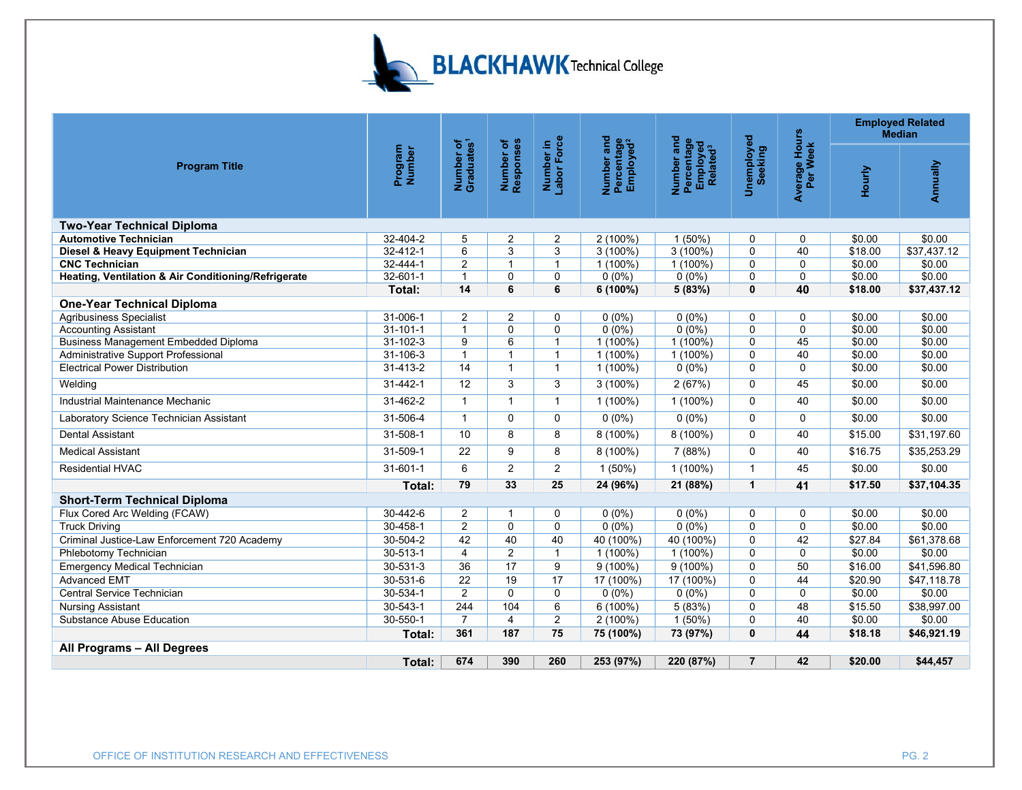

|                                                     |                   |                                     |                        |                          |                                                   |                                                              |                              |                           | <b>Employed Related</b><br><b>Median</b> |             |
|-----------------------------------------------------|-------------------|-------------------------------------|------------------------|--------------------------|---------------------------------------------------|--------------------------------------------------------------|------------------------------|---------------------------|------------------------------------------|-------------|
| <b>Program Title</b>                                | Program<br>Number | Number of<br>Graduates <sup>1</sup> | Number of<br>Responses | Number in<br>Labor Force | Number and<br>Percentage<br>Employed <sup>2</sup> | Number and<br>Percentage<br>Employed<br>Related <sup>3</sup> | <b>Unemployed</b><br>Seeking | Average Hours<br>Per Week | Hourly                                   | Annually    |
| <b>Two-Year Technical Diploma</b>                   |                   |                                     |                        |                          |                                                   |                                                              |                              |                           |                                          |             |
| <b>Automotive Technician</b>                        | $32 - 404 - 2$    | 5                                   | 2                      | 2                        | $2(100\%)$                                        | 1(50%)                                                       | $\Omega$                     | 0                         | \$0.00                                   | \$0.00      |
| Diesel & Heavy Equipment Technician                 | $32 - 412 - 1$    | 6                                   | 3                      | 3                        | $3(100\%)$                                        | $3(100\%)$                                                   | $\Omega$                     | 40                        | \$18.00                                  | \$37,437.12 |
| <b>CNC Technician</b>                               | 32-444-1          | 2                                   | $\mathbf{1}$           | $\mathbf{1}$             | $1(100\%)$                                        | $1(100\%)$                                                   | $\Omega$                     | 0                         | \$0.00                                   | \$0.00      |
| Heating, Ventilation & Air Conditioning/Refrigerate | 32-601-1          | $\overline{1}$                      | 0                      | 0                        | $0(0\%)$                                          | $0(0\%)$                                                     | 0                            | 0                         | \$0.00                                   | \$0.00      |
|                                                     | Total:            | 14                                  | 6                      | 6                        | 6 (100%)                                          | 5(83%)                                                       | $\mathbf{0}$                 | 40                        | \$18.00                                  | \$37,437.12 |
| <b>One-Year Technical Diploma</b>                   |                   |                                     |                        |                          |                                                   |                                                              |                              |                           |                                          |             |
| <b>Agribusiness Specialist</b>                      | 31-006-1          | $\overline{2}$                      | 2                      | 0                        | $0(0\%)$                                          | $0(0\%)$                                                     | $\Omega$                     | 0                         | \$0.00                                   | \$0.00      |
| <b>Accounting Assistant</b>                         | $31 - 101 - 1$    | $\overline{1}$                      | $\Omega$               | $\mathbf 0$              | $0(0\%)$                                          | $0(0\%)$                                                     | $\Omega$                     | 0                         | \$0.00                                   | \$0.00      |
| <b>Business Management Embedded Diploma</b>         | 31-102-3          | 9                                   | 6                      | $\mathbf{1}$             | $1(100\%)$                                        | $1(100\%)$                                                   | $\mathbf 0$                  | 45                        | \$0.00                                   | \$0.00      |
| Administrative Support Professional                 | 31-106-3          | $\overline{1}$                      | $\mathbf{1}$           | $\mathbf{1}$             | $1(100\%)$                                        | $1(100\%)$                                                   | $\mathbf 0$                  | 40                        | \$0.00                                   | \$0.00      |
| <b>Electrical Power Distribution</b>                | $31 - 413 - 2$    | 14                                  | $\mathbf{1}$           | $\mathbf{1}$             | $1(100\%)$                                        | $0(0\%)$                                                     | $\Omega$                     | $\mathbf 0$               | \$0.00                                   | \$0.00      |
| Welding                                             | 31-442-1          | 12                                  | 3                      | 3                        | $3(100\%)$                                        | 2(67%)                                                       | $\Omega$                     | 45                        | \$0.00                                   | \$0.00      |
| Industrial Maintenance Mechanic                     | 31-462-2          | $\mathbf{1}$                        | $\mathbf{1}$           | $\mathbf{1}$             | $1(100\%)$                                        | $1(100\%)$                                                   | $\Omega$                     | 40                        | \$0.00                                   | \$0.00      |
| Laboratory Science Technician Assistant             | 31-506-4          | $\overline{1}$                      | $\Omega$               | $\mathbf 0$              | $0(0\%)$                                          | $0(0\%)$                                                     | $\Omega$                     | 0                         | \$0.00                                   | \$0.00      |
| <b>Dental Assistant</b>                             | 31-508-1          | 10                                  | 8                      | 8                        | 8 (100%)                                          | 8 (100%)                                                     | $\Omega$                     | 40                        | \$15.00                                  | \$31,197.60 |
| <b>Medical Assistant</b>                            | 31-509-1          | 22                                  | 9                      | 8                        | 8 (100%)                                          | 7 (88%)                                                      | $\mathbf{0}$                 | 40                        | \$16.75                                  | \$35,253.29 |
| <b>Residential HVAC</b>                             | $31 - 601 - 1$    | 6                                   | $\overline{2}$         | $\overline{2}$           | $1(50\%)$                                         | $1(100\%)$                                                   | $\mathbf{1}$                 | 45                        | \$0.00                                   | \$0.00      |
|                                                     | Total:            | 79                                  | 33                     | 25                       | 24 (96%)                                          | 21 (88%)                                                     | $\mathbf{1}$                 | 41                        | \$17.50                                  | \$37,104.35 |
| <b>Short-Term Technical Diploma</b>                 |                   |                                     |                        |                          |                                                   |                                                              |                              |                           |                                          |             |
| Flux Cored Arc Welding (FCAW)                       | 30-442-6          | $\overline{2}$                      | $\mathbf{1}$           | 0                        | $0(0\%)$                                          | $0(0\%)$                                                     | $\Omega$                     | 0                         | \$0.00                                   | \$0.00      |
| <b>Truck Driving</b>                                | 30-458-1          | $\overline{c}$                      | 0                      | $\mathbf 0$              | $0(0\%)$                                          | $0(0\%)$                                                     | $\Omega$                     | 0                         | \$0.00                                   | \$0.00      |
| Criminal Justice-Law Enforcement 720 Academy        | 30-504-2          | 42                                  | 40                     | 40                       | 40 (100%)                                         | 40 (100%)                                                    | $\Omega$                     | 42                        | \$27.84                                  | \$61,378.68 |
| Phlebotomy Technician                               | $30 - 513 - 1$    | 4                                   | $\overline{2}$         | $\mathbf{1}$             | $1(100\%)$                                        | 1 (100%)                                                     | $\Omega$                     | $\mathbf 0$               | \$0.00                                   | \$0.00      |
| <b>Emergency Medical Technician</b>                 | 30-531-3          | 36                                  | 17                     | 9                        | $9(100\%)$                                        | $9(100\%)$                                                   | $\mathbf 0$                  | 50                        | \$16.00                                  | \$41,596.80 |
| <b>Advanced EMT</b>                                 | $30 - 531 - 6$    | $\overline{22}$                     | 19                     | 17                       | 17 (100%)                                         | 17 (100%)                                                    | $\Omega$                     | 44                        | \$20.90                                  | \$47,118.78 |
| Central Service Technician                          | 30-534-1          | $\overline{2}$                      | $\Omega$               | $\Omega$                 | $0(0\%)$                                          | $0(0\%)$                                                     | $\Omega$                     | $\Omega$                  | \$0.00                                   | \$0.00      |
| <b>Nursing Assistant</b>                            | 30-543-1          | 244                                 | 104                    | 6                        | $6(100\%)$                                        | 5(83%)                                                       | $\Omega$                     | 48                        | \$15.50                                  | \$38,997.00 |
| <b>Substance Abuse Education</b>                    | 30-550-1          | $\overline{7}$                      | 4                      | $\overline{c}$           | $2(100\%)$                                        | $1(50\%)$                                                    | $\Omega$                     | 40                        | \$0.00                                   | \$0.00      |
|                                                     | Total:            | 361                                 | 187                    | 75                       | 75 (100%)                                         | 73 (97%)                                                     | $\mathbf{0}$                 | 44                        | \$18.18                                  | \$46,921.19 |
| All Programs - All Degrees                          |                   |                                     |                        |                          |                                                   |                                                              |                              |                           |                                          |             |
|                                                     | Total:            | 674                                 | 390                    | 260                      | 253 (97%)                                         | 220 (87%)                                                    | $\overline{7}$               | 42                        | \$20.00                                  | \$44,457    |